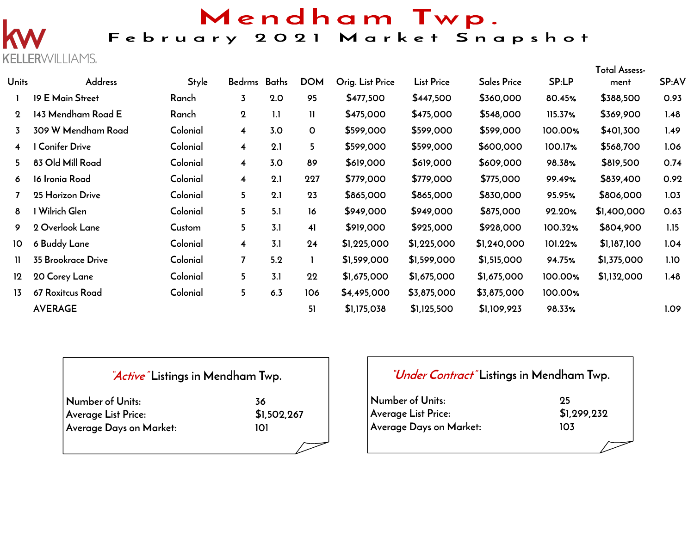# Mendham Twp.

## February 2021 Market Snapshot

## **RWILLIAMS.**

| <b>Units</b>   | <b>Address</b>            | Style    | Bedrms Baths            |     | <b>DOM</b>   | Orig. List Price | <b>List Price</b> | Sales Price | <b>SP:LP</b> | Total Assess-<br>ment | SP:AV |
|----------------|---------------------------|----------|-------------------------|-----|--------------|------------------|-------------------|-------------|--------------|-----------------------|-------|
|                | 19 E Main Street          | Ranch    | 3                       | 2.0 | 95           | \$477,500        | \$447,500         | \$360,000   | 80.45%       | \$388,500             | 0.93  |
| $\mathbf 2$    | 143 Mendham Road E        | Ranch    | $\mathbf{2}$            | 1.1 | $\mathbf{H}$ | \$475,000        | \$475,000         | \$548,000   | 115.37%      | \$369,900             | 1.48  |
| 3              | 309 W Mendham Road        | Colonial | $\overline{\mathbf{4}}$ | 3.0 | $\mathsf{o}$ | \$599,000        | \$599,000         | \$599,000   | 100.00%      | \$401,300             | 1.49  |
| $\overline{4}$ | <b>Conifer Drive</b>      | Colonial | $\overline{\mathbf{4}}$ | 2.1 | 5            | \$599,000        | \$599,000         | \$600,000   | 100.17%      | \$568,700             | 1.06  |
| 5.             | 83 Old Mill Road          | Colonial | $\overline{\mathbf{4}}$ | 3.0 | 89           | \$619,000        | \$619,000         | \$609,000   | 98.38%       | \$819,500             | 0.74  |
| 6              | 16 Ironia Road            | Colonial | $\overline{\mathbf{4}}$ | 2.1 | 227          | \$779,000        | \$779,000         | \$775,000   | 99.49%       | \$839,400             | 0.92  |
|                | 25 Horizon Drive          | Colonial | 5                       | 2.1 | 23           | \$865,000        | \$865,000         | \$830,000   | 95.95%       | \$806,000             | 1.03  |
| 8              | Wilrich Glen              | Colonial | 5                       | 5.1 | 16           | \$949,000        | \$949,000         | \$875,000   | 92.20%       | \$1,400,000           | 0.63  |
| 9              | 2 Overlook Lane           | Custom   | 5                       | 3.1 | 41           | \$919,000        | \$925,000         | \$928,000   | 100.32%      | \$804,900             | 1.15  |
| 10             | 6 Buddy Lane              | Colonial | 4                       | 3.1 | 24           | \$1,225,000      | \$1,225,000       | \$1,240,000 | 101.22%      | \$1,187,100           | 1.04  |
| 11.            | <b>35 Brookrace Drive</b> | Colonial | $\overline{7}$          | 5.2 |              | \$1,599,000      | \$1,599,000       | \$1,515,000 | 94.75%       | \$1,375,000           | 1.10  |
| 12             | 20 Corey Lane             | Colonial | 5                       | 3.1 | 22           | \$1,675,000      | \$1,675,000       | \$1,675,000 | 100.00%      | \$1,132,000           | 1.48  |
| 13             | 67 Roxitcus Road          | Colonial | 5                       | 6.3 | 106          | \$4,495,000      | \$3,875,000       | \$3,875,000 | 100.00%      |                       |       |
|                | <b>AVERAGE</b>            |          |                         |     | 51           | \$1,175,038      | \$1,125,500       | \$1,109,923 | 98.33%       |                       | 1.09  |

#### **"Active" Listings in Mendham Twp.**

| Number of Units:           | 36          |  |  |  |  |
|----------------------------|-------------|--|--|--|--|
| <b>Average List Price:</b> | \$1,502,267 |  |  |  |  |
| Average Days on Market:    | 101         |  |  |  |  |
|                            |             |  |  |  |  |

### **"Under Contract" Listings in Mendham Twp.**

| Number of Units:        | 95          |
|-------------------------|-------------|
| Average List Price:     | \$1,299,232 |
| Average Days on Market: | 103         |
|                         |             |